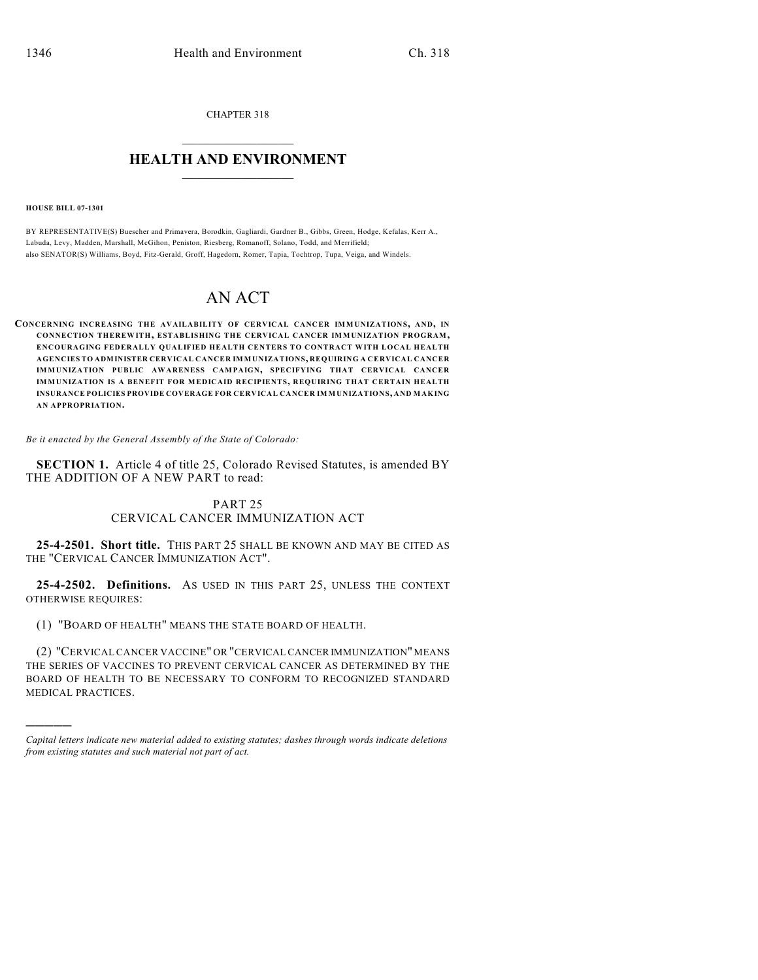CHAPTER 318  $\overline{\phantom{a}}$  . The set of the set of the set of the set of the set of the set of the set of the set of the set of the set of the set of the set of the set of the set of the set of the set of the set of the set of the set o

## **HEALTH AND ENVIRONMENT**  $\_$

**HOUSE BILL 07-1301**

)))))

BY REPRESENTATIVE(S) Buescher and Primavera, Borodkin, Gagliardi, Gardner B., Gibbs, Green, Hodge, Kefalas, Kerr A., Labuda, Levy, Madden, Marshall, McGihon, Peniston, Riesberg, Romanoff, Solano, Todd, and Merrifield; also SENATOR(S) Williams, Boyd, Fitz-Gerald, Groff, Hagedorn, Romer, Tapia, Tochtrop, Tupa, Veiga, and Windels.

## AN ACT

**CONCERNING INCREASING THE AVAILABILITY OF CERVICAL CANCER IMMUNIZATIONS, AND, IN CONNECTION THEREWITH, ESTABLISHING THE CERVICAL CANCER IMMUNIZATION PROGRAM, ENCOURAGING FEDERALLY QUALIFIED HEALTH CENTERS TO CONTRACT WITH LOCAL HEALTH AGENCIES TO ADMINISTER CERVICAL CANCER IMMUNIZATIONS, REQUIRING A CERVICAL CANCER IMMUNIZATION PUBLIC AWARENESS CAMPAIGN, SPECIFYING THAT CERVICAL CANCER IMMUNIZATION IS A BENEFIT FOR MEDICAID RECIPIENTS, REQUIRING THAT CERTAIN HEALTH INSURANCE POLICIES PROVIDE COVERAGE FOR CERVICAL CANCER IMMUNIZATIONS, AND MAKING AN APPROPRIATION.**

*Be it enacted by the General Assembly of the State of Colorado:*

**SECTION 1.** Article 4 of title 25, Colorado Revised Statutes, is amended BY THE ADDITION OF A NEW PART to read:

## PART 25 CERVICAL CANCER IMMUNIZATION ACT

**25-4-2501. Short title.** THIS PART 25 SHALL BE KNOWN AND MAY BE CITED AS THE "CERVICAL CANCER IMMUNIZATION ACT".

**25-4-2502. Definitions.** AS USED IN THIS PART 25, UNLESS THE CONTEXT OTHERWISE REQUIRES:

(1) "BOARD OF HEALTH" MEANS THE STATE BOARD OF HEALTH.

(2) "CERVICAL CANCER VACCINE" OR "CERVICAL CANCER IMMUNIZATION" MEANS THE SERIES OF VACCINES TO PREVENT CERVICAL CANCER AS DETERMINED BY THE BOARD OF HEALTH TO BE NECESSARY TO CONFORM TO RECOGNIZED STANDARD MEDICAL PRACTICES.

*Capital letters indicate new material added to existing statutes; dashes through words indicate deletions from existing statutes and such material not part of act.*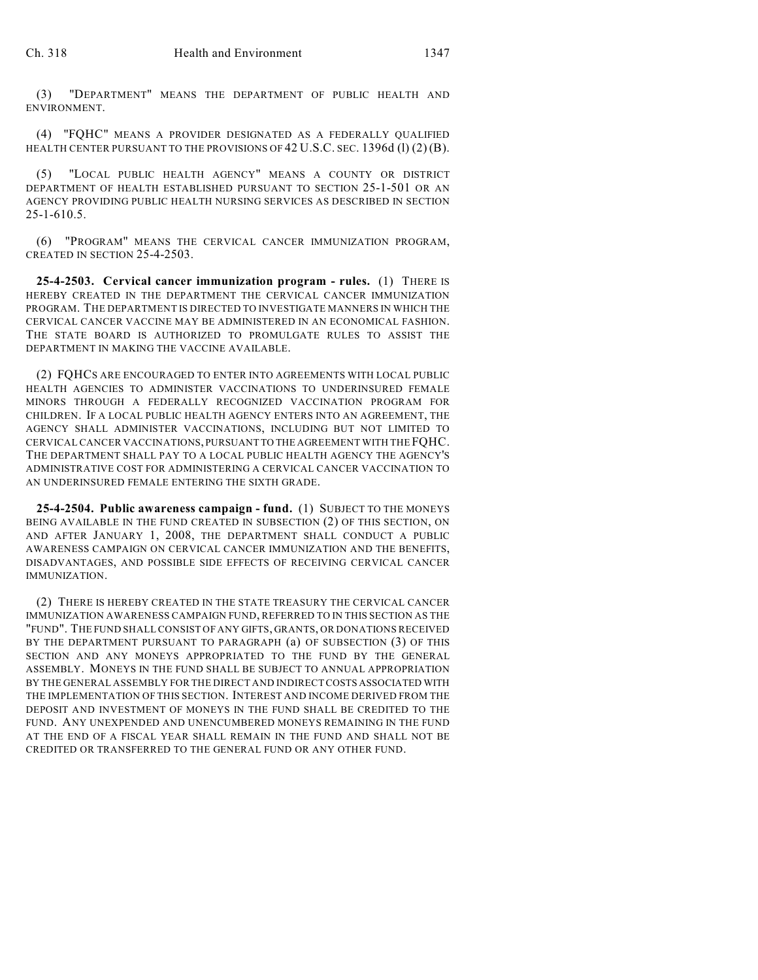(3) "DEPARTMENT" MEANS THE DEPARTMENT OF PUBLIC HEALTH AND ENVIRONMENT.

(4) "FQHC" MEANS A PROVIDER DESIGNATED AS A FEDERALLY QUALIFIED HEALTH CENTER PURSUANT TO THE PROVISIONS OF  $42$  U.S.C. SEC. 1396d (l)  $(2)$  (B).

(5) "LOCAL PUBLIC HEALTH AGENCY" MEANS A COUNTY OR DISTRICT DEPARTMENT OF HEALTH ESTABLISHED PURSUANT TO SECTION 25-1-501 OR AN AGENCY PROVIDING PUBLIC HEALTH NURSING SERVICES AS DESCRIBED IN SECTION 25-1-610.5.

(6) "PROGRAM" MEANS THE CERVICAL CANCER IMMUNIZATION PROGRAM, CREATED IN SECTION 25-4-2503.

**25-4-2503. Cervical cancer immunization program - rules.** (1) THERE IS HEREBY CREATED IN THE DEPARTMENT THE CERVICAL CANCER IMMUNIZATION PROGRAM. THE DEPARTMENT IS DIRECTED TO INVESTIGATE MANNERS IN WHICH THE CERVICAL CANCER VACCINE MAY BE ADMINISTERED IN AN ECONOMICAL FASHION. THE STATE BOARD IS AUTHORIZED TO PROMULGATE RULES TO ASSIST THE DEPARTMENT IN MAKING THE VACCINE AVAILABLE.

(2) FQHCS ARE ENCOURAGED TO ENTER INTO AGREEMENTS WITH LOCAL PUBLIC HEALTH AGENCIES TO ADMINISTER VACCINATIONS TO UNDERINSURED FEMALE MINORS THROUGH A FEDERALLY RECOGNIZED VACCINATION PROGRAM FOR CHILDREN. IF A LOCAL PUBLIC HEALTH AGENCY ENTERS INTO AN AGREEMENT, THE AGENCY SHALL ADMINISTER VACCINATIONS, INCLUDING BUT NOT LIMITED TO CERVICAL CANCER VACCINATIONS, PURSUANT TO THE AGREEMENT WITH THE FQHC. THE DEPARTMENT SHALL PAY TO A LOCAL PUBLIC HEALTH AGENCY THE AGENCY'S ADMINISTRATIVE COST FOR ADMINISTERING A CERVICAL CANCER VACCINATION TO AN UNDERINSURED FEMALE ENTERING THE SIXTH GRADE.

**25-4-2504. Public awareness campaign - fund.** (1) SUBJECT TO THE MONEYS BEING AVAILABLE IN THE FUND CREATED IN SUBSECTION (2) OF THIS SECTION, ON AND AFTER JANUARY 1, 2008, THE DEPARTMENT SHALL CONDUCT A PUBLIC AWARENESS CAMPAIGN ON CERVICAL CANCER IMMUNIZATION AND THE BENEFITS, DISADVANTAGES, AND POSSIBLE SIDE EFFECTS OF RECEIVING CERVICAL CANCER IMMUNIZATION.

(2) THERE IS HEREBY CREATED IN THE STATE TREASURY THE CERVICAL CANCER IMMUNIZATION AWARENESS CAMPAIGN FUND, REFERRED TO IN THIS SECTION AS THE "FUND". THE FUND SHALL CONSIST OF ANY GIFTS, GRANTS, OR DONATIONS RECEIVED BY THE DEPARTMENT PURSUANT TO PARAGRAPH (a) OF SUBSECTION (3) OF THIS SECTION AND ANY MONEYS APPROPRIATED TO THE FUND BY THE GENERAL ASSEMBLY. MONEYS IN THE FUND SHALL BE SUBJECT TO ANNUAL APPROPRIATION BY THE GENERAL ASSEMBLY FOR THE DIRECT AND INDIRECT COSTS ASSOCIATED WITH THE IMPLEMENTATION OF THIS SECTION. INTEREST AND INCOME DERIVED FROM THE DEPOSIT AND INVESTMENT OF MONEYS IN THE FUND SHALL BE CREDITED TO THE FUND. ANY UNEXPENDED AND UNENCUMBERED MONEYS REMAINING IN THE FUND AT THE END OF A FISCAL YEAR SHALL REMAIN IN THE FUND AND SHALL NOT BE CREDITED OR TRANSFERRED TO THE GENERAL FUND OR ANY OTHER FUND.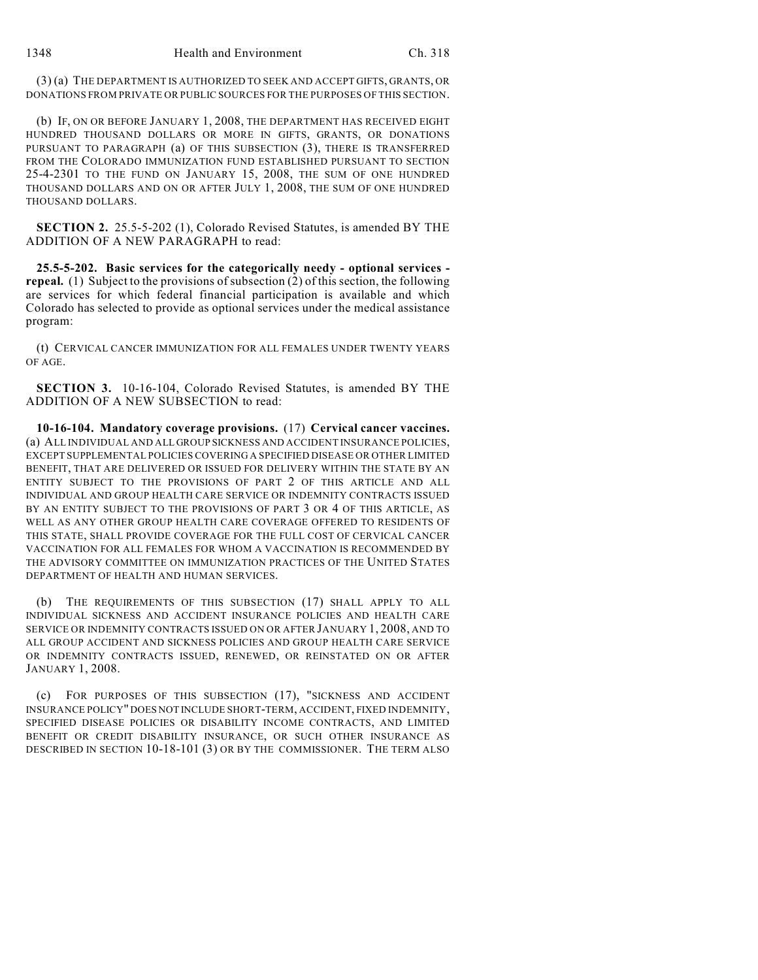(3) (a) THE DEPARTMENT IS AUTHORIZED TO SEEK AND ACCEPT GIFTS, GRANTS, OR DONATIONS FROM PRIVATE OR PUBLIC SOURCES FOR THE PURPOSES OF THIS SECTION.

(b) IF, ON OR BEFORE JANUARY 1, 2008, THE DEPARTMENT HAS RECEIVED EIGHT HUNDRED THOUSAND DOLLARS OR MORE IN GIFTS, GRANTS, OR DONATIONS PURSUANT TO PARAGRAPH (a) OF THIS SUBSECTION (3), THERE IS TRANSFERRED FROM THE COLORADO IMMUNIZATION FUND ESTABLISHED PURSUANT TO SECTION 25-4-2301 TO THE FUND ON JANUARY 15, 2008, THE SUM OF ONE HUNDRED THOUSAND DOLLARS AND ON OR AFTER JULY 1, 2008, THE SUM OF ONE HUNDRED THOUSAND DOLLARS.

**SECTION 2.** 25.5-5-202 (1), Colorado Revised Statutes, is amended BY THE ADDITION OF A NEW PARAGRAPH to read:

**25.5-5-202. Basic services for the categorically needy - optional services repeal.** (1) Subject to the provisions of subsection (2) of this section, the following are services for which federal financial participation is available and which Colorado has selected to provide as optional services under the medical assistance program:

(t) CERVICAL CANCER IMMUNIZATION FOR ALL FEMALES UNDER TWENTY YEARS OF AGE.

**SECTION 3.** 10-16-104, Colorado Revised Statutes, is amended BY THE ADDITION OF A NEW SUBSECTION to read:

**10-16-104. Mandatory coverage provisions.** (17) **Cervical cancer vaccines.** (a) ALL INDIVIDUAL AND ALL GROUP SICKNESS AND ACCIDENT INSURANCE POLICIES, EXCEPT SUPPLEMENTAL POLICIES COVERING A SPECIFIED DISEASE OR OTHER LIMITED BENEFIT, THAT ARE DELIVERED OR ISSUED FOR DELIVERY WITHIN THE STATE BY AN ENTITY SUBJECT TO THE PROVISIONS OF PART 2 OF THIS ARTICLE AND ALL INDIVIDUAL AND GROUP HEALTH CARE SERVICE OR INDEMNITY CONTRACTS ISSUED BY AN ENTITY SUBJECT TO THE PROVISIONS OF PART 3 OR 4 OF THIS ARTICLE, AS WELL AS ANY OTHER GROUP HEALTH CARE COVERAGE OFFERED TO RESIDENTS OF THIS STATE, SHALL PROVIDE COVERAGE FOR THE FULL COST OF CERVICAL CANCER VACCINATION FOR ALL FEMALES FOR WHOM A VACCINATION IS RECOMMENDED BY THE ADVISORY COMMITTEE ON IMMUNIZATION PRACTICES OF THE UNITED STATES DEPARTMENT OF HEALTH AND HUMAN SERVICES.

(b) THE REQUIREMENTS OF THIS SUBSECTION (17) SHALL APPLY TO ALL INDIVIDUAL SICKNESS AND ACCIDENT INSURANCE POLICIES AND HEALTH CARE SERVICE OR INDEMNITY CONTRACTS ISSUED ON OR AFTER JANUARY 1, 2008, AND TO ALL GROUP ACCIDENT AND SICKNESS POLICIES AND GROUP HEALTH CARE SERVICE OR INDEMNITY CONTRACTS ISSUED, RENEWED, OR REINSTATED ON OR AFTER JANUARY 1, 2008.

(c) FOR PURPOSES OF THIS SUBSECTION (17), "SICKNESS AND ACCIDENT INSURANCE POLICY" DOES NOT INCLUDE SHORT-TERM, ACCIDENT, FIXED INDEMNITY, SPECIFIED DISEASE POLICIES OR DISABILITY INCOME CONTRACTS, AND LIMITED BENEFIT OR CREDIT DISABILITY INSURANCE, OR SUCH OTHER INSURANCE AS DESCRIBED IN SECTION 10-18-101 (3) OR BY THE COMMISSIONER. THE TERM ALSO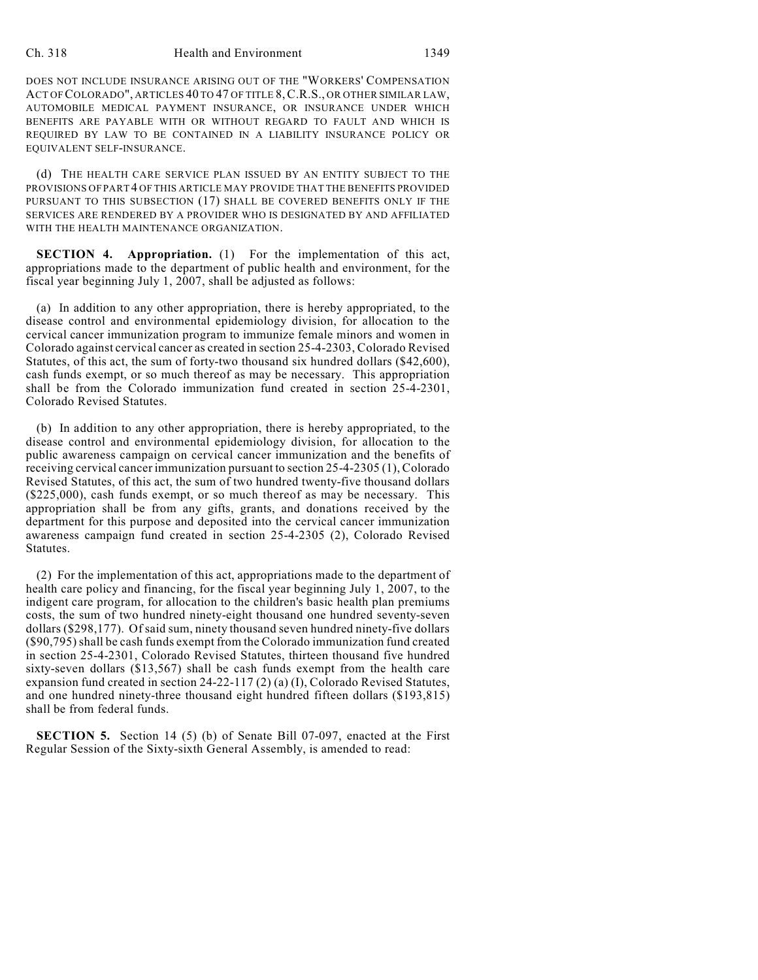## Ch. 318 Health and Environment 1349

DOES NOT INCLUDE INSURANCE ARISING OUT OF THE "WORKERS' COMPENSATION ACT OF COLORADO", ARTICLES 40 TO 47 OF TITLE 8,C.R.S., OR OTHER SIMILAR LAW, AUTOMOBILE MEDICAL PAYMENT INSURANCE, OR INSURANCE UNDER WHICH BENEFITS ARE PAYABLE WITH OR WITHOUT REGARD TO FAULT AND WHICH IS REQUIRED BY LAW TO BE CONTAINED IN A LIABILITY INSURANCE POLICY OR EQUIVALENT SELF-INSURANCE.

(d) THE HEALTH CARE SERVICE PLAN ISSUED BY AN ENTITY SUBJECT TO THE PROVISIONS OF PART 4 OF THIS ARTICLE MAY PROVIDE THAT THE BENEFITS PROVIDED PURSUANT TO THIS SUBSECTION (17) SHALL BE COVERED BENEFITS ONLY IF THE SERVICES ARE RENDERED BY A PROVIDER WHO IS DESIGNATED BY AND AFFILIATED WITH THE HEALTH MAINTENANCE ORGANIZATION.

**SECTION 4. Appropriation.** (1) For the implementation of this act, appropriations made to the department of public health and environment, for the fiscal year beginning July 1, 2007, shall be adjusted as follows:

(a) In addition to any other appropriation, there is hereby appropriated, to the disease control and environmental epidemiology division, for allocation to the cervical cancer immunization program to immunize female minors and women in Colorado against cervical cancer as created in section 25-4-2303, Colorado Revised Statutes, of this act, the sum of forty-two thousand six hundred dollars (\$42,600), cash funds exempt, or so much thereof as may be necessary. This appropriation shall be from the Colorado immunization fund created in section 25-4-2301, Colorado Revised Statutes.

(b) In addition to any other appropriation, there is hereby appropriated, to the disease control and environmental epidemiology division, for allocation to the public awareness campaign on cervical cancer immunization and the benefits of receiving cervical cancer immunization pursuant to section 25-4-2305 (1), Colorado Revised Statutes, of this act, the sum of two hundred twenty-five thousand dollars (\$225,000), cash funds exempt, or so much thereof as may be necessary. This appropriation shall be from any gifts, grants, and donations received by the department for this purpose and deposited into the cervical cancer immunization awareness campaign fund created in section 25-4-2305 (2), Colorado Revised Statutes.

(2) For the implementation of this act, appropriations made to the department of health care policy and financing, for the fiscal year beginning July 1, 2007, to the indigent care program, for allocation to the children's basic health plan premiums costs, the sum of two hundred ninety-eight thousand one hundred seventy-seven dollars (\$298,177). Of said sum, ninety thousand seven hundred ninety-five dollars (\$90,795) shall be cash funds exempt from the Colorado immunization fund created in section 25-4-2301, Colorado Revised Statutes, thirteen thousand five hundred sixty-seven dollars (\$13,567) shall be cash funds exempt from the health care expansion fund created in section 24-22-117 (2) (a) (I), Colorado Revised Statutes, and one hundred ninety-three thousand eight hundred fifteen dollars (\$193,815) shall be from federal funds.

**SECTION 5.** Section 14 (5) (b) of Senate Bill 07-097, enacted at the First Regular Session of the Sixty-sixth General Assembly, is amended to read: